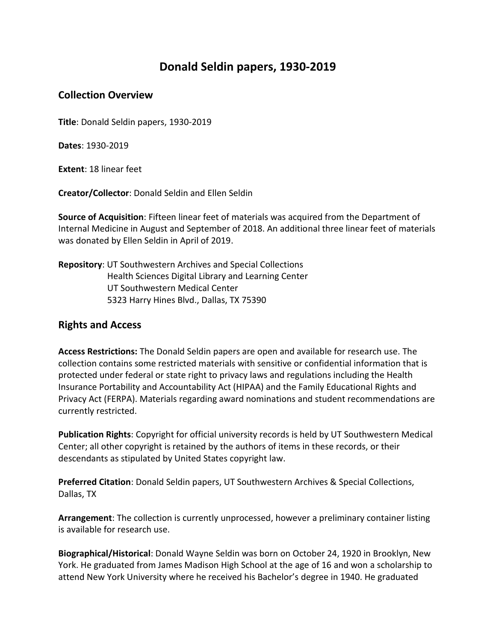## **Donald Seldin papers, 1930-2019**

## **Collection Overview**

**Title**: Donald Seldin papers, 1930-2019

**Dates**: 1930-2019

**Extent**: 18 linear feet

**Creator/Collector**: Donald Seldin and Ellen Seldin

**Source of Acquisition**: Fifteen linear feet of materials was acquired from the Department of Internal Medicine in August and September of 2018. An additional three linear feet of materials was donated by Ellen Seldin in April of 2019.

**Repository**: UT Southwestern Archives and Special Collections Health Sciences Digital Library and Learning Center UT Southwestern Medical Center 5323 Harry Hines Blvd., Dallas, TX 75390

## **Rights and Access**

**Access Restrictions:** The Donald Seldin papers are open and available for research use. The collection contains some restricted materials with sensitive or confidential information that is protected under federal or state right to privacy laws and regulations including the Health Insurance Portability and Accountability Act (HIPAA) and the Family Educational Rights and Privacy Act (FERPA). Materials regarding award nominations and student recommendations are currently restricted.

**Publication Rights**: Copyright for official university records is held by UT Southwestern Medical Center; all other copyright is retained by the authors of items in these records, or their descendants as stipulated by United States copyright law.

**Preferred Citation**: Donald Seldin papers, UT Southwestern Archives & Special Collections, Dallas, TX

**Arrangement**: The collection is currently unprocessed, however a preliminary container listing is available for research use.

**Biographical/Historical**: Donald Wayne Seldin was born on October 24, 1920 in Brooklyn, New York. He graduated from James Madison High School at the age of 16 and won a scholarship to attend New York University where he received his Bachelor's degree in 1940. He graduated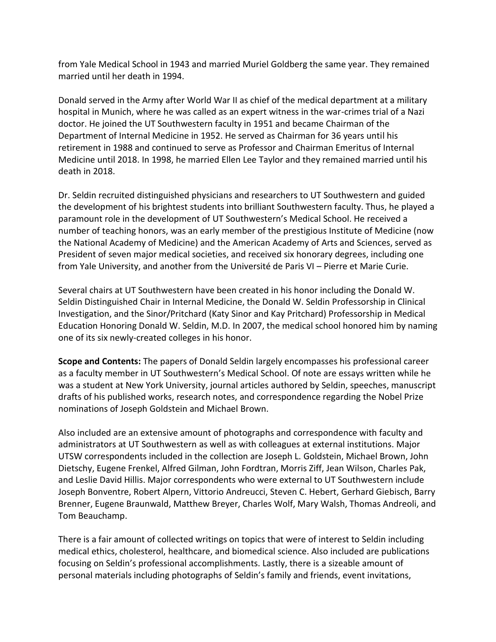from Yale Medical School in 1943 and married Muriel Goldberg the same year. They remained married until her death in 1994.

Donald served in the Army after World War II as chief of the medical department at a military hospital in Munich, where he was called as an expert witness in the war-crimes trial of a Nazi doctor. He joined the UT Southwestern faculty in 1951 and became Chairman of the Department of Internal Medicine in 1952. He served as Chairman for 36 years until his retirement in 1988 and continued to serve as Professor and Chairman Emeritus of Internal Medicine until 2018. In 1998, he married Ellen Lee Taylor and they remained married until his death in 2018.

Dr. Seldin recruited distinguished physicians and researchers to UT Southwestern and guided the development of his brightest students into brilliant Southwestern faculty. Thus, he played a paramount role in the development of UT Southwestern's Medical School. He received a number of teaching honors, was an early member of the prestigious Institute of Medicine (now the National Academy of Medicine) and the American Academy of Arts and Sciences, served as President of seven major medical societies, and received six honorary degrees, including one from Yale University, and another from the Université de Paris VI – Pierre et Marie Curie.

Several chairs at UT Southwestern have been created in his honor including the Donald W. Seldin Distinguished Chair in Internal Medicine, the Donald W. Seldin Professorship in Clinical Investigation, and the Sinor/Pritchard (Katy Sinor and Kay Pritchard) Professorship in Medical Education Honoring Donald W. Seldin, M.D. In 2007, the medical school honored him by naming one of its six newly-created colleges in his honor.

**Scope and Contents:** The papers of Donald Seldin largely encompasses his professional career as a faculty member in UT Southwestern's Medical School. Of note are essays written while he was a student at New York University, journal articles authored by Seldin, speeches, manuscript drafts of his published works, research notes, and correspondence regarding the Nobel Prize nominations of Joseph Goldstein and Michael Brown.

Also included are an extensive amount of photographs and correspondence with faculty and administrators at UT Southwestern as well as with colleagues at external institutions. Major UTSW correspondents included in the collection are Joseph L. Goldstein, Michael Brown, John Dietschy, Eugene Frenkel, Alfred Gilman, John Fordtran, Morris Ziff, Jean Wilson, Charles Pak, and Leslie David Hillis. Major correspondents who were external to UT Southwestern include Joseph Bonventre, Robert Alpern, Vittorio Andreucci, Steven C. Hebert, Gerhard Giebisch, Barry Brenner, Eugene Braunwald, Matthew Breyer, Charles Wolf, Mary Walsh, Thomas Andreoli, and Tom Beauchamp.

There is a fair amount of collected writings on topics that were of interest to Seldin including medical ethics, cholesterol, healthcare, and biomedical science. Also included are publications focusing on Seldin's professional accomplishments. Lastly, there is a sizeable amount of personal materials including photographs of Seldin's family and friends, event invitations,